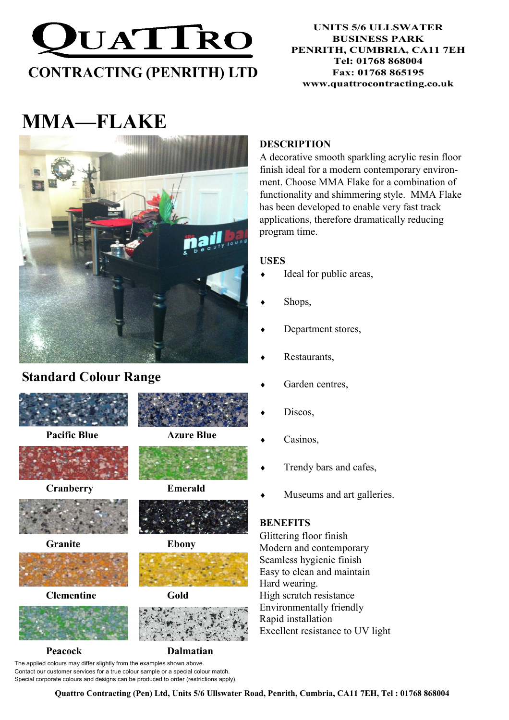

# MMA—FLAKE



## Standard Colour Range



Pacific Blue **Azure Blue** 



Cranberry Emerald













Peacock Dalmatian

The applied colours may differ slightly from the examples shown above. Contact our customer services for a true colour sample or a special colour match. Special corporate colours and designs can be produced to order (restrictions apply).

#### **DESCRIPTION**

A decorative smooth sparkling acrylic resin floor finish ideal for a modern contemporary environment. Choose MMA Flake for a combination of functionality and shimmering style. MMA Flake has been developed to enable very fast track applications, therefore dramatically reducing program time.

#### USES

- Ideal for public areas,
- Shops,
- Department stores,
- Restaurants,
- Garden centres,
- Discos,
- Casinos,
- Trendy bars and cafes,
- ♦ Museums and art galleries.

### **BENEFITS**

Glittering floor finish Modern and contemporary Seamless hygienic finish Easy to clean and maintain Hard wearing. High scratch resistance Environmentally friendly Rapid installation Excellent resistance to UV light